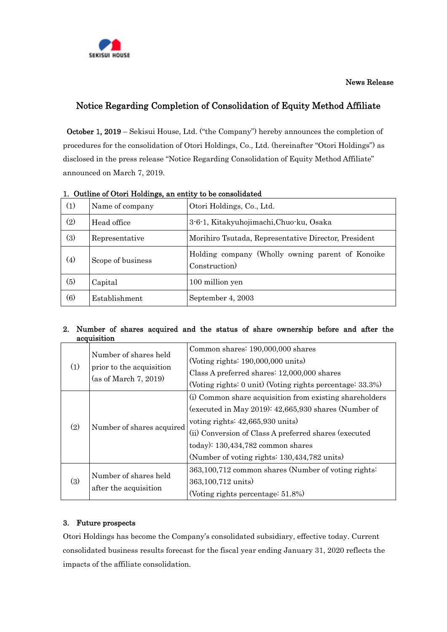

News Release

# Notice Regarding Completion of Consolidation of Equity Method Affiliate

October 1, 2019 – Sekisui House, Ltd. ("the Company") hereby announces the completion of procedures for the consolidation of Otori Holdings, Co., Ltd. (hereinafter "Otori Holdings") as disclosed in the press release "Notice Regarding Consolidation of Equity Method Affiliate" announced on March 7, 2019.

| 1. Cathle of Otori Homman, an entry to be consolidated |                   |                                                                   |  |
|--------------------------------------------------------|-------------------|-------------------------------------------------------------------|--|
| (1)                                                    | Name of company   | Otori Holdings, Co., Ltd.                                         |  |
| (2)                                                    | Head office       | 3-6-1, Kitakyuhojimachi, Chuo-ku, Osaka                           |  |
| (3)                                                    | Representative    | Morihiro Tsutada, Representative Director, President              |  |
| (4)                                                    | Scope of business | Holding company (Wholly owning parent of Konoike<br>Construction) |  |
| (5)                                                    | Capital           | 100 million yen                                                   |  |
| (6)                                                    | Establishment     | September 4, 2003                                                 |  |

### 1. Outline of Otori Holdings, an entity to be consolidated

#### 2. Number of shares acquired and the status of share ownership before and after the acquisition

| (1) | Number of shares held<br>prior to the acquisition<br>(as of March 7, 2019) | Common shares: 190,000,000 shares<br>(Voting rights: $190,000,000$ units) |
|-----|----------------------------------------------------------------------------|---------------------------------------------------------------------------|
|     |                                                                            | Class A preferred shares: 12,000,000 shares                               |
|     |                                                                            | (Voting rights: 0 unit) (Voting rights percentage: 33.3%)                 |
| (2) | Number of shares acquired                                                  | (i) Common share acquisition from existing shareholders                   |
|     |                                                                            | (executed in May 2019): $42,665,930$ shares (Number of                    |
|     |                                                                            | voting rights: $42,665,930 \text{ units}$                                 |
|     |                                                                            | (ii) Conversion of Class A preferred shares (executed                     |
|     |                                                                            | today): $130,434,782$ common shares                                       |
|     |                                                                            | (Number of voting rights: 130,434,782 units)                              |
| (3) | Number of shares held<br>after the acquisition                             | 363,100,712 common shares (Number of voting rights:                       |
|     |                                                                            | 363,100,712 units)                                                        |
|     |                                                                            | (Voting rights percentage: 51.8%)                                         |

### 3. Future prospects

Otori Holdings has become the Company's consolidated subsidiary, effective today. Current consolidated business results forecast for the fiscal year ending January 31, 2020 reflects the impacts of the affiliate consolidation.